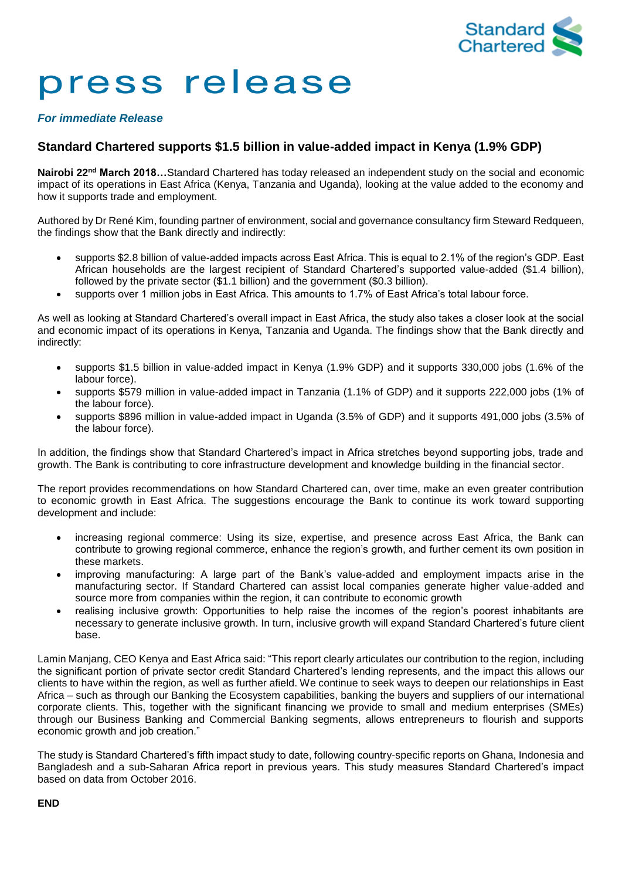

# press release

### *For immediate Release*

## **Standard Chartered supports \$1.5 billion in value-added impact in Kenya (1.9% GDP)**

**Nairobi 22nd March 2018…**Standard Chartered has today released an independent study on the social and economic impact of its operations in East Africa (Kenya, Tanzania and Uganda), looking at the value added to the economy and how it supports trade and employment.

Authored by Dr René Kim, founding partner of environment, social and governance consultancy firm Steward Redqueen, the findings show that the Bank directly and indirectly:

- supports \$2.8 billion of value-added impacts across East Africa. This is equal to 2.1% of the region's GDP. East African households are the largest recipient of Standard Chartered's supported value-added (\$1.4 billion), followed by the private sector (\$1.1 billion) and the government (\$0.3 billion).
- supports over 1 million jobs in East Africa. This amounts to 1.7% of East Africa's total labour force.

As well as looking at Standard Chartered's overall impact in East Africa, the study also takes a closer look at the social and economic impact of its operations in Kenya, Tanzania and Uganda. The findings show that the Bank directly and indirectly:

- supports \$1.5 billion in value-added impact in Kenya (1.9% GDP) and it supports 330,000 jobs (1.6% of the labour force).
- supports \$579 million in value-added impact in Tanzania (1.1% of GDP) and it supports 222,000 jobs (1% of the labour force).
- supports \$896 million in value-added impact in Uganda (3.5% of GDP) and it supports 491,000 jobs (3.5% of the labour force).

In addition, the findings show that Standard Chartered's impact in Africa stretches beyond supporting jobs, trade and growth. The Bank is contributing to core infrastructure development and knowledge building in the financial sector.

The report provides recommendations on how Standard Chartered can, over time, make an even greater contribution to economic growth in East Africa. The suggestions encourage the Bank to continue its work toward supporting development and include:

- increasing regional commerce: Using its size, expertise, and presence across East Africa, the Bank can contribute to growing regional commerce, enhance the region's growth, and further cement its own position in these markets.
- improving manufacturing: A large part of the Bank's value-added and employment impacts arise in the manufacturing sector. If Standard Chartered can assist local companies generate higher value-added and source more from companies within the region, it can contribute to economic growth
- realising inclusive growth: Opportunities to help raise the incomes of the region's poorest inhabitants are necessary to generate inclusive growth. In turn, inclusive growth will expand Standard Chartered's future client base.

Lamin Manjang, CEO Kenya and East Africa said: "This report clearly articulates our contribution to the region, including the significant portion of private sector credit Standard Chartered's lending represents, and the impact this allows our clients to have within the region, as well as further afield. We continue to seek ways to deepen our relationships in East Africa – such as through our Banking the Ecosystem capabilities, banking the buyers and suppliers of our international corporate clients. This, together with the significant financing we provide to small and medium enterprises (SMEs) through our Business Banking and Commercial Banking segments, allows entrepreneurs to flourish and supports economic growth and job creation."

The study is Standard Chartered's fifth impact study to date, following country-specific reports on Ghana, Indonesia and Bangladesh and a sub-Saharan Africa report in previous years. This study measures Standard Chartered's impact based on data from October 2016.